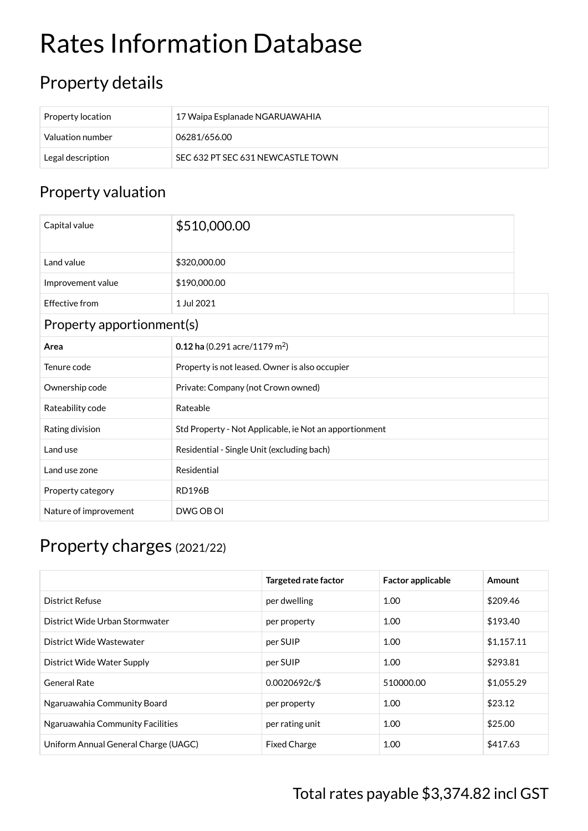## Rates Information Database

## Property details

| Property location | 17 Waipa Esplanade NGARUAWAHIA    |
|-------------------|-----------------------------------|
| Valuation number  | 06281/656.00                      |
| Legal description | SEC 632 PT SEC 631 NEWCASTLE TOWN |

## Property valuation

| Capital value             | \$510,000.00                                           |  |  |  |
|---------------------------|--------------------------------------------------------|--|--|--|
| Land value                | \$320,000.00                                           |  |  |  |
| Improvement value         | \$190,000.00                                           |  |  |  |
| Effective from            | 1 Jul 2021                                             |  |  |  |
| Property apportionment(s) |                                                        |  |  |  |
| Area                      | 0.12 ha (0.291 acre/1179 m <sup>2</sup> )              |  |  |  |
| Tenure code               | Property is not leased. Owner is also occupier         |  |  |  |
| Ownership code            | Private: Company (not Crown owned)                     |  |  |  |
| Rateability code          | Rateable                                               |  |  |  |
| Rating division           | Std Property - Not Applicable, ie Not an apportionment |  |  |  |
| Land use                  | Residential - Single Unit (excluding bach)             |  |  |  |
| Land use zone             | Residential                                            |  |  |  |
| Property category         | <b>RD196B</b>                                          |  |  |  |
| Nature of improvement     | DWG OB OI                                              |  |  |  |

## Property charges (2021/22)

|                                      | <b>Targeted rate factor</b> | <b>Factor applicable</b> | Amount     |
|--------------------------------------|-----------------------------|--------------------------|------------|
| District Refuse                      | per dwelling                | 1.00                     | \$209.46   |
| District Wide Urban Stormwater       | per property                | 1.00                     | \$193.40   |
| District Wide Wastewater             | per SUIP                    | 1.00                     | \$1,157.11 |
| District Wide Water Supply           | per SUIP                    | 1.00                     | \$293.81   |
| <b>General Rate</b>                  | 0.0020692c/\$               | 510000.00                | \$1,055.29 |
| Ngaruawahia Community Board          | per property                | 1.00                     | \$23.12    |
| Ngaruawahia Community Facilities     | per rating unit             | 1.00                     | \$25.00    |
| Uniform Annual General Charge (UAGC) | <b>Fixed Charge</b>         | 1.00                     | \$417.63   |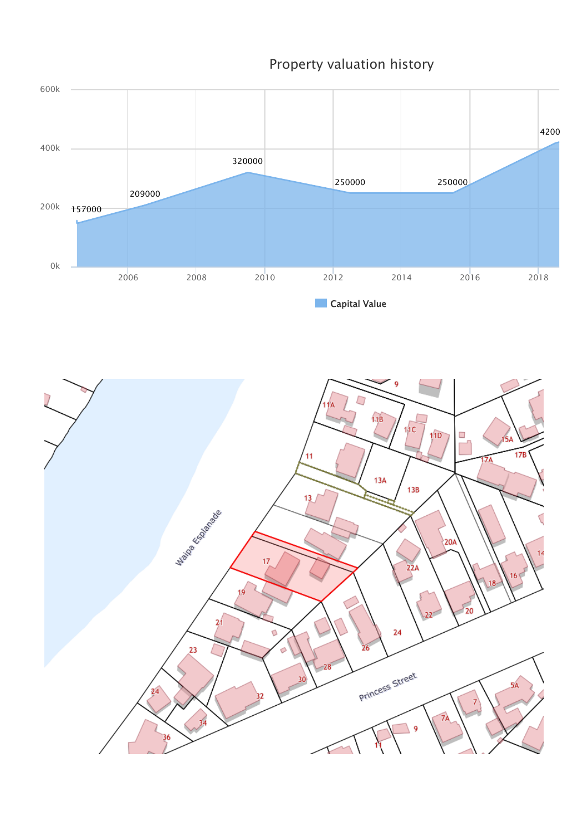157000 209000 320000 250000 250000 4200 **Capital Value** 2006 2008 2010 2012 2014 2016 2018 0k 200k 400k 600k



Property valuation history